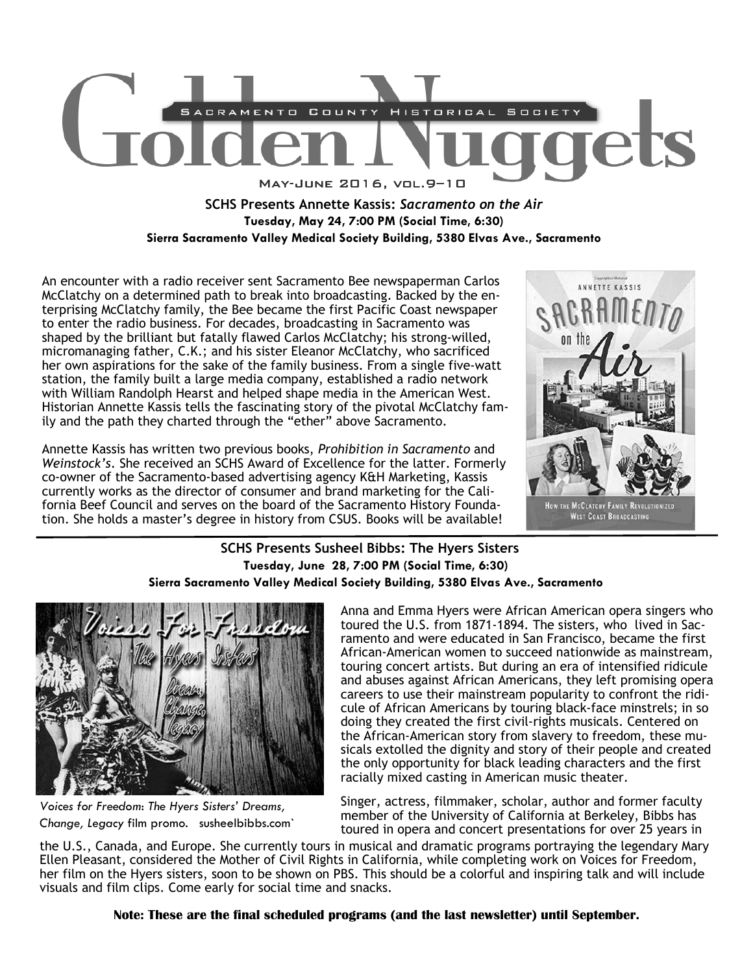

## **SCHS Presents Annette Kassis:** *Sacramento on the Air*  **Tuesday, May 24, 7:00 PM (Social Time, 6:30) Sierra Sacramento Valley Medical Society Building, 5380 Elvas Ave., Sacramento**

An encounter with a radio receiver sent Sacramento Bee newspaperman Carlos McClatchy on a determined path to break into broadcasting. Backed by the enterprising McClatchy family, the Bee became the first Pacific Coast newspaper to enter the radio business. For decades, broadcasting in Sacramento was shaped by the brilliant but fatally flawed Carlos McClatchy; his strong-willed, micromanaging father, C.K.; and his sister Eleanor McClatchy, who sacrificed her own aspirations for the sake of the family business. From a single five-watt station, the family built a large media company, established a radio network with William Randolph Hearst and helped shape media in the American West. Historian Annette Kassis tells the fascinating story of the pivotal McClatchy family and the path they charted through the "ether" above Sacramento.

Annette Kassis has written two previous books, *Prohibition in Sacramento* and *Weinstock's*. She received an SCHS Award of Excellence for the latter. Formerly co-owner of the Sacramento-based advertising agency K&H Marketing, Kassis currently works as the director of consumer and brand marketing for the California Beef Council and serves on the board of the Sacramento History Foundation. She holds a master's degree in history from CSUS. Books will be available!



#### **SCHS Presents Susheel Bibbs: The Hyers Sisters Tuesday, June 28, 7:00 PM (Social Time, 6:30) Sierra Sacramento Valley Medical Society Building, 5380 Elvas Ave., Sacramento**



*Voices for Freedom*: *The Hyers Sisters' Dreams, Change, Legacy* film promo. susheelbibbs.com`

Anna and Emma Hyers were African American opera singers who toured the U.S. from 1871-1894. The sisters, who lived in Sacramento and were educated in San Francisco, became the first African-American women to succeed nationwide as mainstream, touring concert artists. But during an era of intensified ridicule and abuses against African Americans, they left promising opera careers to use their mainstream popularity to confront the ridicule of African Americans by touring black-face minstrels; in so doing they created the first civil-rights musicals. Centered on the African-American story from slavery to freedom, these musicals extolled the dignity and story of their people and created the only opportunity for black leading characters and the first racially mixed casting in American music theater.

Singer, actress, filmmaker, scholar, author and former faculty member of the University of California at Berkeley, Bibbs has toured in opera and concert presentations for over 25 years in

the U.S., Canada, and Europe. She currently tours in musical and dramatic programs portraying the legendary Mary Ellen Pleasant, considered the Mother of Civil Rights in California, while completing work on Voices for Freedom, her film on the Hyers sisters, soon to be shown on PBS. This should be a colorful and inspiring talk and will include visuals and film clips. Come early for social time and snacks.

**Note: These are the final scheduled programs (and the last newsletter) until September.**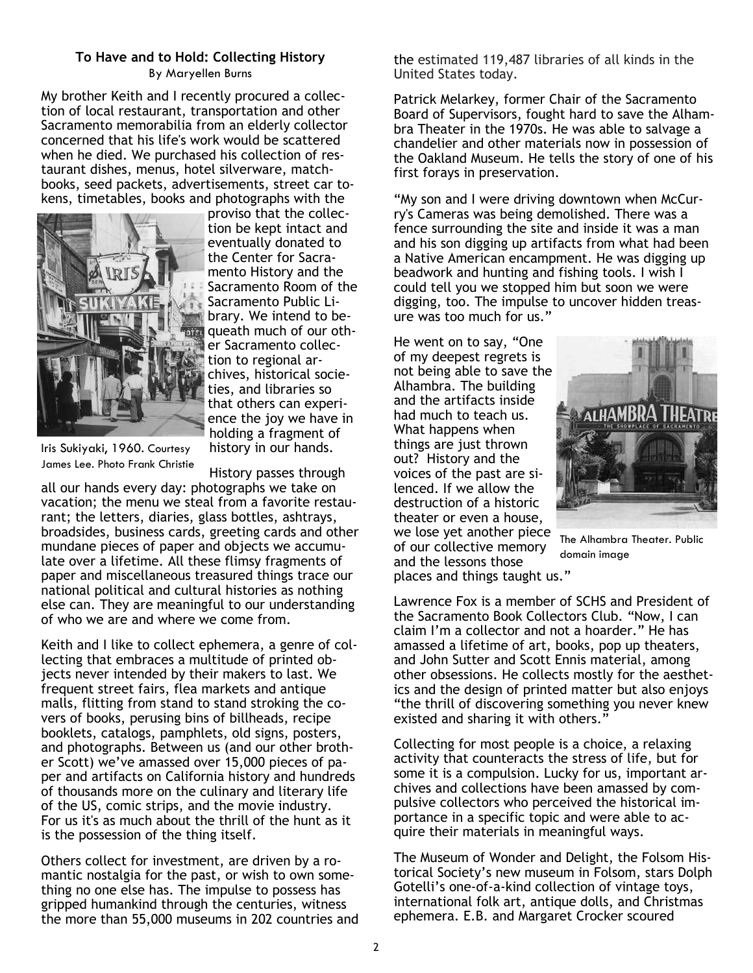#### **To Have and to Hold: Collecting History**  By Maryellen Burns

My brother Keith and I recently procured a collection of local restaurant, transportation and other Sacramento memorabilia from an elderly collector concerned that his life's work would be scattered when he died. We purchased his collection of restaurant dishes, menus, hotel silverware, matchbooks, seed packets, advertisements, street car tokens, timetables, books and photographs with the



proviso that the collection be kept intact and eventually donated to the Center for Sacramento History and the Sacramento Room of the Sacramento Public Library. We intend to bequeath much of our other Sacramento collection to regional archives, historical societies, and libraries so that others can experience the joy we have in holding a fragment of history in our hands.

Iris Sukiyaki, 1960. Courtesy James Lee. Photo Frank Christie

History passes through all our hands every day: photographs we take on vacation; the menu we steal from a favorite restaurant; the letters, diaries, glass bottles, ashtrays, broadsides, business cards, greeting cards and other mundane pieces of paper and objects we accumulate over a lifetime. All these flimsy fragments of paper and miscellaneous treasured things trace our national political and cultural histories as nothing else can. They are meaningful to our understanding of who we are and where we come from.

Keith and I like to collect ephemera, a genre of collecting that embraces a multitude of printed objects never intended by their makers to last. We frequent street fairs, flea markets and antique malls, flitting from stand to stand stroking the covers of books, perusing bins of billheads, recipe booklets, catalogs, pamphlets, old signs, posters, and photographs. Between us (and our other brother Scott) we've amassed over 15,000 pieces of paper and artifacts on California history and hundreds of thousands more on the culinary and literary life of the US, comic strips, and the movie industry. For us it's as much about the thrill of the hunt as it is the possession of the thing itself.

Others collect for investment, are driven by a romantic nostalgia for the past, or wish to own something no one else has. The impulse to possess has gripped humankind through the centuries, witness the more than 55,000 museums in 202 countries and the estimated 119,487 libraries of all kinds in the United States today.

Patrick Melarkey, former Chair of the Sacramento Board of Supervisors, fought hard to save the Alhambra Theater in the 1970s. He was able to salvage a chandelier and other materials now in possession of the Oakland Museum. He tells the story of one of his first forays in preservation.

"My son and I were driving downtown when McCurry's Cameras was being demolished. There was a fence surrounding the site and inside it was a man and his son digging up artifacts from what had been a Native American encampment. He was digging up beadwork and hunting and fishing tools. I wish I could tell you we stopped him but soon we were digging, too. The impulse to uncover hidden treasure was too much for us."

He went on to say, "One of my deepest regrets is not being able to save the Alhambra. The building and the artifacts inside had much to teach us. What happens when things are just thrown out? History and the voices of the past are silenced. If we allow the destruction of a historic theater or even a house, we lose yet another piece of our collective memory and the lessons those places and things taught us."



The Alhambra Theater. Public domain image

Lawrence Fox is a member of SCHS and President of the Sacramento Book Collectors Club. "Now, I can claim I'm a collector and not a hoarder." He has amassed a lifetime of art, books, pop up theaters, and John Sutter and Scott Ennis material, among other obsessions. He collects mostly for the aesthetics and the design of printed matter but also enjoys "the thrill of discovering something you never knew existed and sharing it with others."

Collecting for most people is a choice, a relaxing activity that counteracts the stress of life, but for some it is a compulsion. Lucky for us, important archives and collections have been amassed by compulsive collectors who perceived the historical importance in a specific topic and were able to acquire their materials in meaningful ways.

The Museum of Wonder and Delight, the Folsom Historical Society's new museum in Folsom, stars Dolph Gotelli's one-of-a-kind collection of vintage toys, international folk art, antique dolls, and Christmas ephemera. E.B. and Margaret Crocker scoured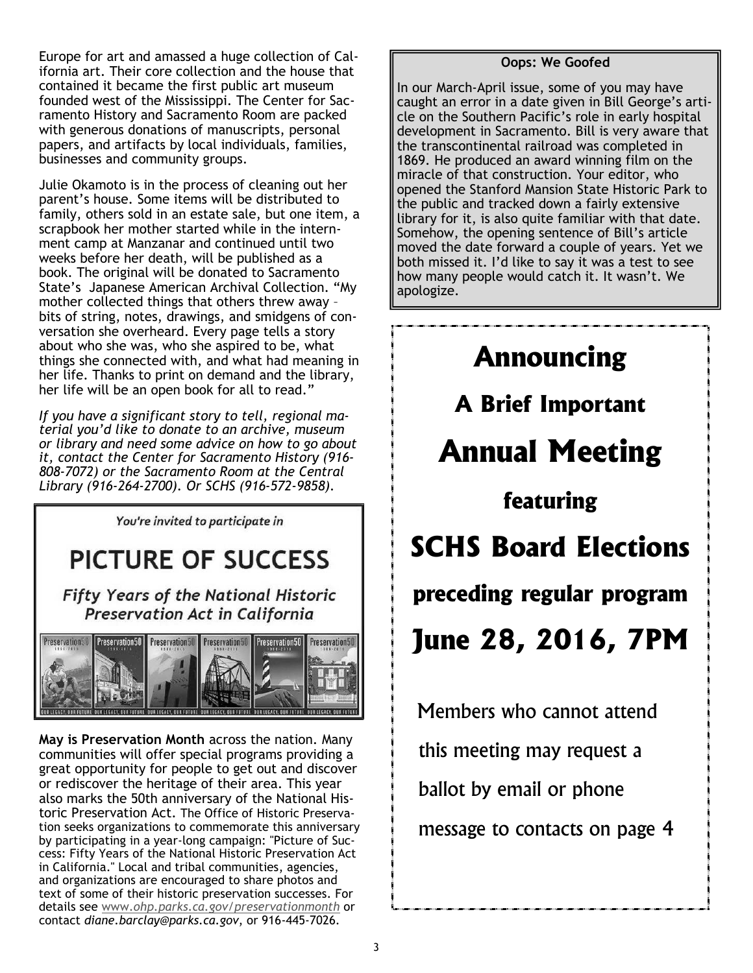Europe for art and amassed a huge collection of California art. Their core collection and the house that contained it became the first public art museum founded west of the Mississippi. The Center for Sacramento History and Sacramento Room are packed with generous donations of manuscripts, personal papers, and artifacts by local individuals, families, businesses and community groups.

Julie Okamoto is in the process of cleaning out her parent's house. Some items will be distributed to family, others sold in an estate sale, but one item, a scrapbook her mother started while in the internment camp at Manzanar and continued until two weeks before her death, will be published as a book. The original will be donated to Sacramento State's Japanese American Archival Collection. "My mother collected things that others threw away – bits of string, notes, drawings, and smidgens of conversation she overheard. Every page tells a story about who she was, who she aspired to be, what things she connected with, and what had meaning in her life. Thanks to print on demand and the library, her life will be an open book for all to read."

*If you have a significant story to tell, regional material you'd like to donate to an archive, museum or library and need some advice on how to go about it, contact the Center for Sacramento History (916- 808-7072) or the Sacramento Room at the Central Library (916-264-2700). Or SCHS (916-572-9858).* 

You're invited to participate in

# **PICTURE OF SUCCESS**

**Fifty Years of the National Historic Preservation Act in California** 



**May is Preservation Month** across the nation. Many communities will offer special programs providing a great opportunity for people to get out and discover or rediscover the heritage of their area. This year also marks the 50th anniversary of the National Historic Preservation Act. The Office of Historic Preservation seeks organizations to commemorate this anniversary by participating in a year-long campaign: "Picture of Success: Fifty Years of the National Historic Preservation Act in California." Local and tribal communities, agencies, and organizations are encouraged to share photos and text of some of their historic preservation successes. For details see www.*ohp.parks.ca.gov/preservationmonth* or contact *diane.barclay@parks.ca.gov*, or 916-445-7026.

### **Oops: We Goofed**

In our March-April issue, some of you may have caught an error in a date given in Bill George's article on the Southern Pacific's role in early hospital development in Sacramento. Bill is very aware that the transcontinental railroad was completed in 1869. He produced an award winning film on the miracle of that construction. Your editor, who opened the Stanford Mansion State Historic Park to the public and tracked down a fairly extensive library for it, is also quite familiar with that date. Somehow, the opening sentence of Bill's article moved the date forward a couple of years. Yet we both missed it. I'd like to say it was a test to see how many people would catch it. It wasn't. We apologize.



 Members who cannot attend this meeting may request a ballot by email or phone message to contacts on page 4